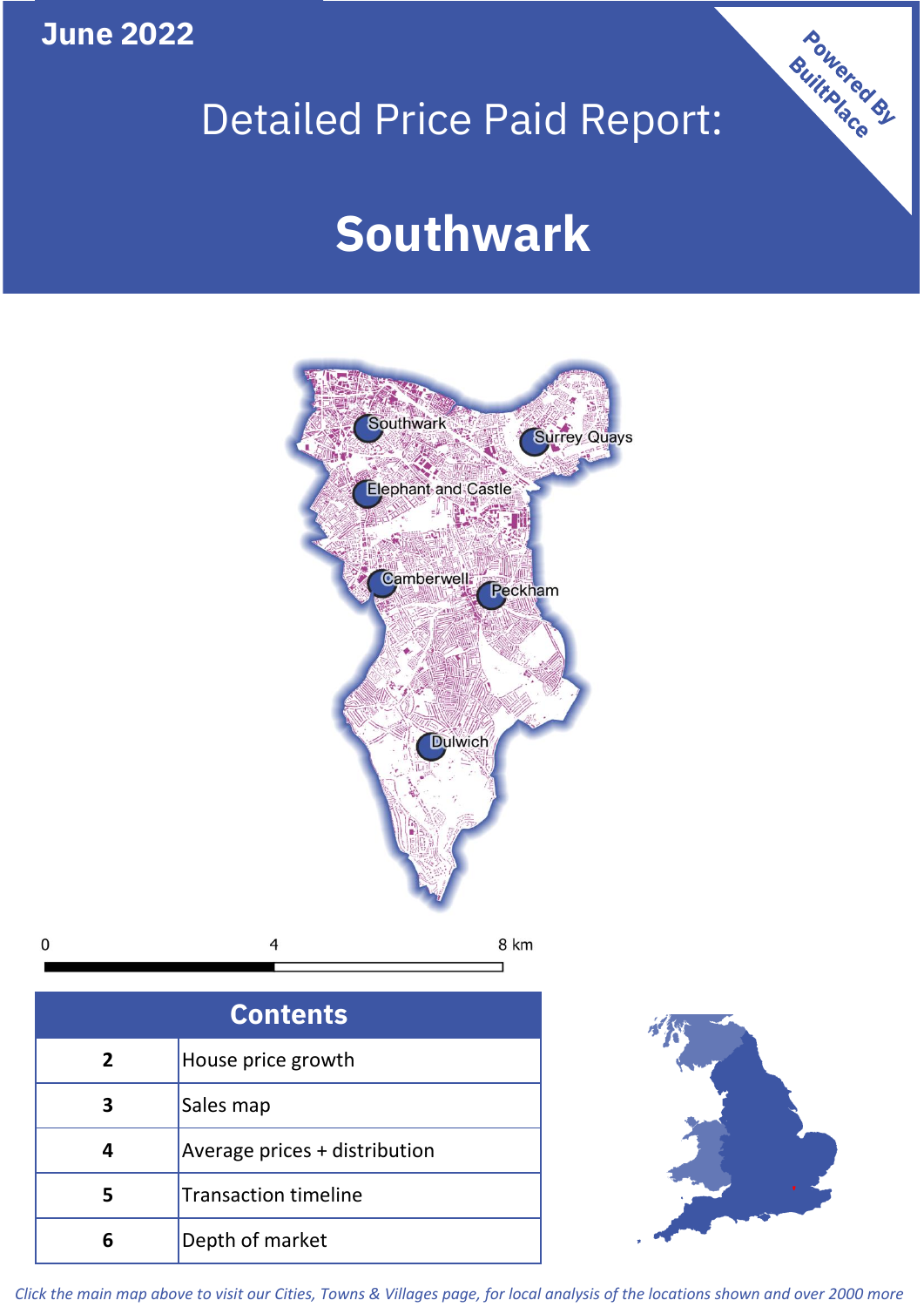**June 2022**

 $\mathbf 0$ 

## Detailed Price Paid Report:

# **Southwark**



| <b>Contents</b> |                               |  |  |
|-----------------|-------------------------------|--|--|
| $\mathbf{2}$    | House price growth            |  |  |
| 3               | Sales map                     |  |  |
|                 | Average prices + distribution |  |  |
|                 | <b>Transaction timeline</b>   |  |  |
|                 | Depth of market               |  |  |



Powered By

*Click the main map above to visit our Cities, Towns & Villages page, for local analysis of the locations shown and over 2000 more*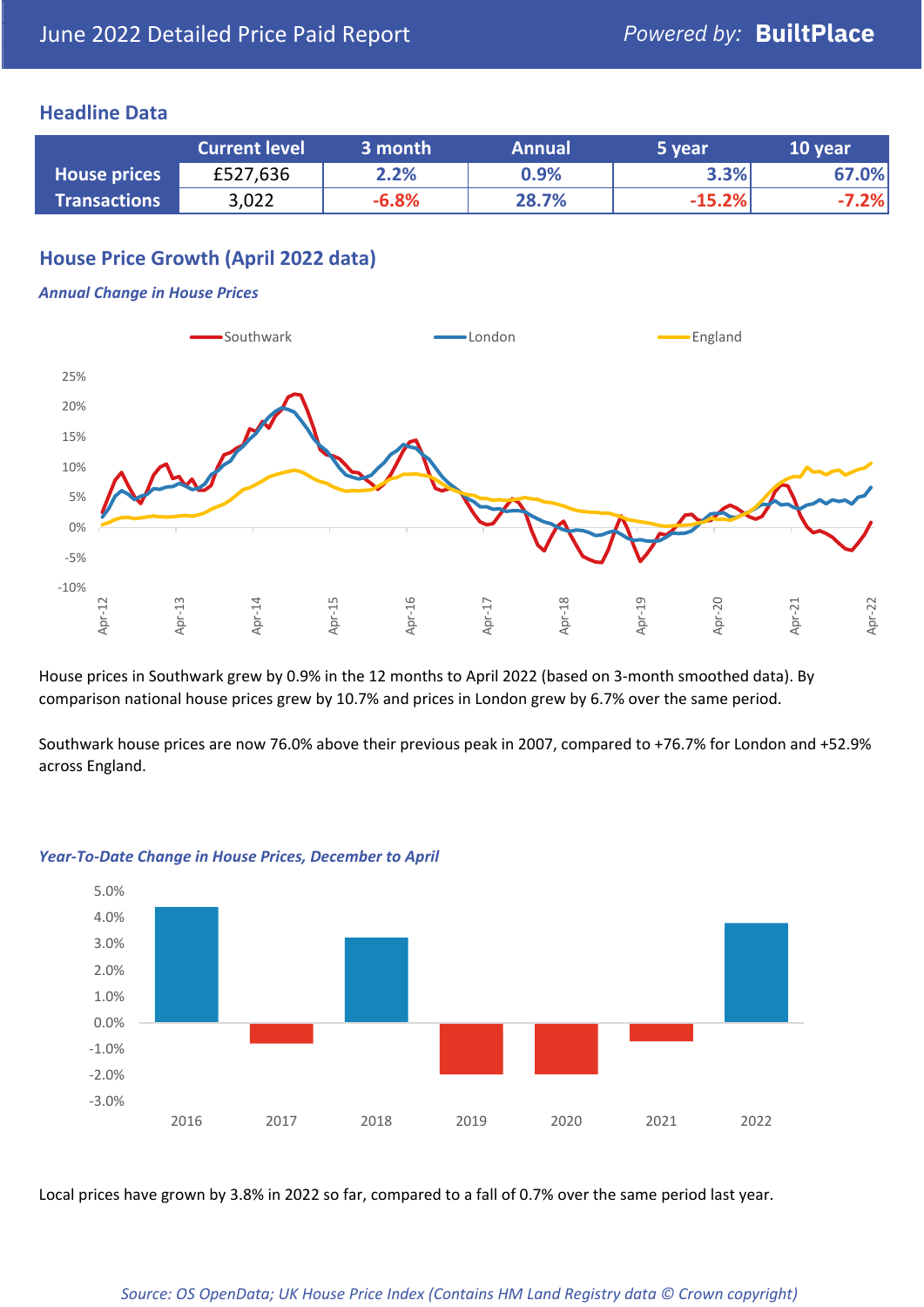#### **Headline Data**

|                     | <b>Current level</b> | 3 month | <b>Annual</b> | 5 year   | 10 year |
|---------------------|----------------------|---------|---------------|----------|---------|
| <b>House prices</b> | £527,636             | 2.2%    | 0.9%          | 3.3%     | 67.0%   |
| <b>Transactions</b> | 3,022                | $-6.8%$ | 28.7%         | $-15.2%$ | $-7.2%$ |

## **House Price Growth (April 2022 data)**

#### *Annual Change in House Prices*



House prices in Southwark grew by 0.9% in the 12 months to April 2022 (based on 3-month smoothed data). By comparison national house prices grew by 10.7% and prices in London grew by 6.7% over the same period.

Southwark house prices are now 76.0% above their previous peak in 2007, compared to +76.7% for London and +52.9% across England.



#### *Year-To-Date Change in House Prices, December to April*

Local prices have grown by 3.8% in 2022 so far, compared to a fall of 0.7% over the same period last year.

#### *Source: OS OpenData; UK House Price Index (Contains HM Land Registry data © Crown copyright)*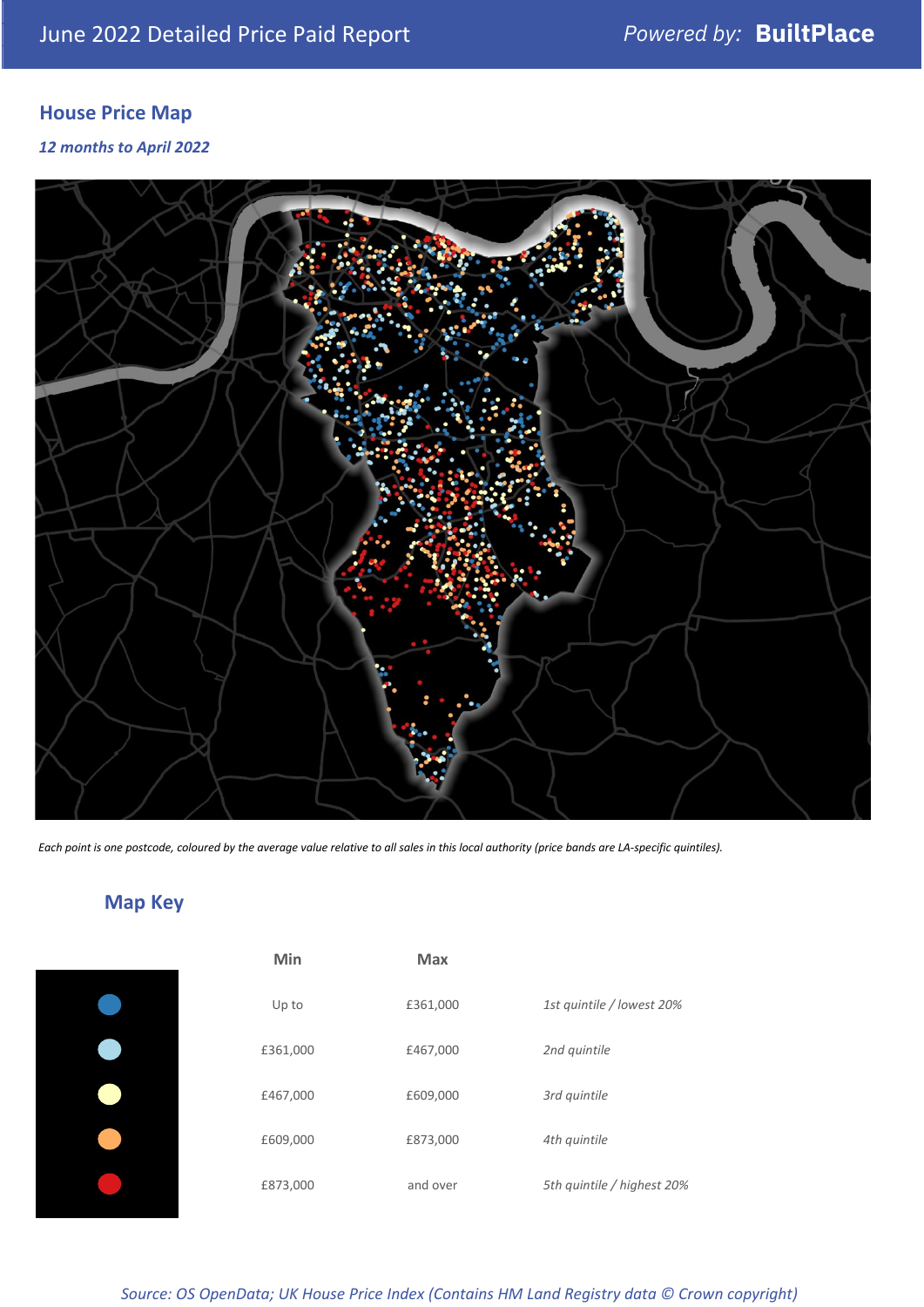## **House Price Map**

*12 months to April 2022*



*Each point is one postcode, coloured by the average value relative to all sales in this local authority (price bands are LA-specific quintiles).*

## **Map Key**

| Min      | <b>Max</b> |                            |
|----------|------------|----------------------------|
| Up to    | £361,000   | 1st quintile / lowest 20%  |
| £361,000 | £467,000   | 2nd quintile               |
| £467,000 | £609,000   | 3rd quintile               |
| £609,000 | £873,000   | 4th quintile               |
| £873,000 | and over   | 5th quintile / highest 20% |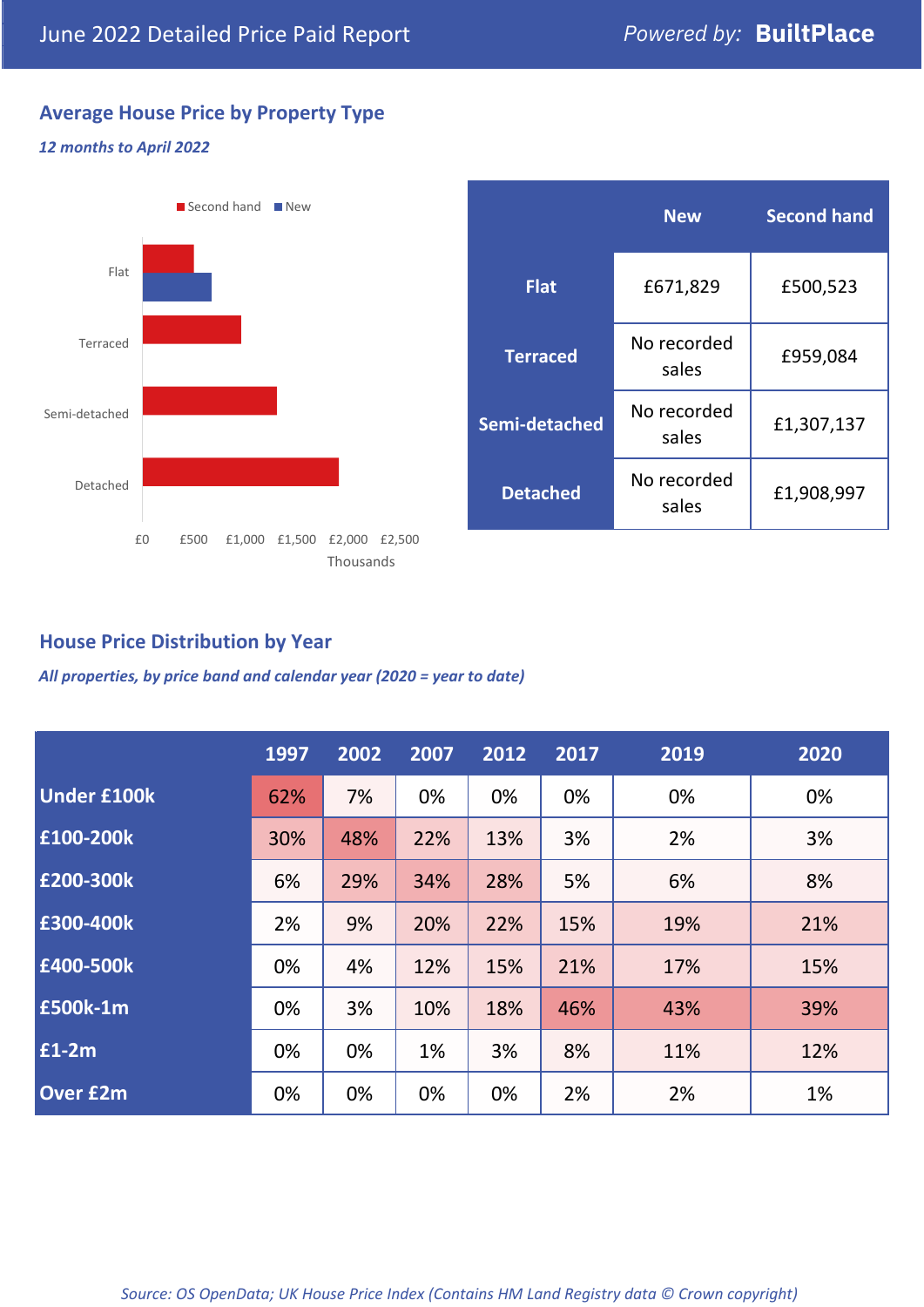## **Average House Price by Property Type**

#### *12 months to April 2022*



|                 | <b>New</b>           | <b>Second hand</b> |  |
|-----------------|----------------------|--------------------|--|
| <b>Flat</b>     | £671,829             | £500,523           |  |
| <b>Terraced</b> | No recorded<br>sales | £959,084           |  |
| Semi-detached   | No recorded<br>sales | £1,307,137         |  |
| <b>Detached</b> | No recorded<br>sales | £1,908,997         |  |

## **House Price Distribution by Year**

*All properties, by price band and calendar year (2020 = year to date)*

|                    | 1997 | 2002 | 2007 | 2012 | 2017 | 2019 | 2020 |
|--------------------|------|------|------|------|------|------|------|
| <b>Under £100k</b> | 62%  | 7%   | 0%   | 0%   | 0%   | 0%   | 0%   |
| £100-200k          | 30%  | 48%  | 22%  | 13%  | 3%   | 2%   | 3%   |
| E200-300k          | 6%   | 29%  | 34%  | 28%  | 5%   | 6%   | 8%   |
| £300-400k          | 2%   | 9%   | 20%  | 22%  | 15%  | 19%  | 21%  |
| £400-500k          | 0%   | 4%   | 12%  | 15%  | 21%  | 17%  | 15%  |
| £500k-1m           | 0%   | 3%   | 10%  | 18%  | 46%  | 43%  | 39%  |
| £1-2m              | 0%   | 0%   | 1%   | 3%   | 8%   | 11%  | 12%  |
| <b>Over £2m</b>    | 0%   | 0%   | 0%   | 0%   | 2%   | 2%   | 1%   |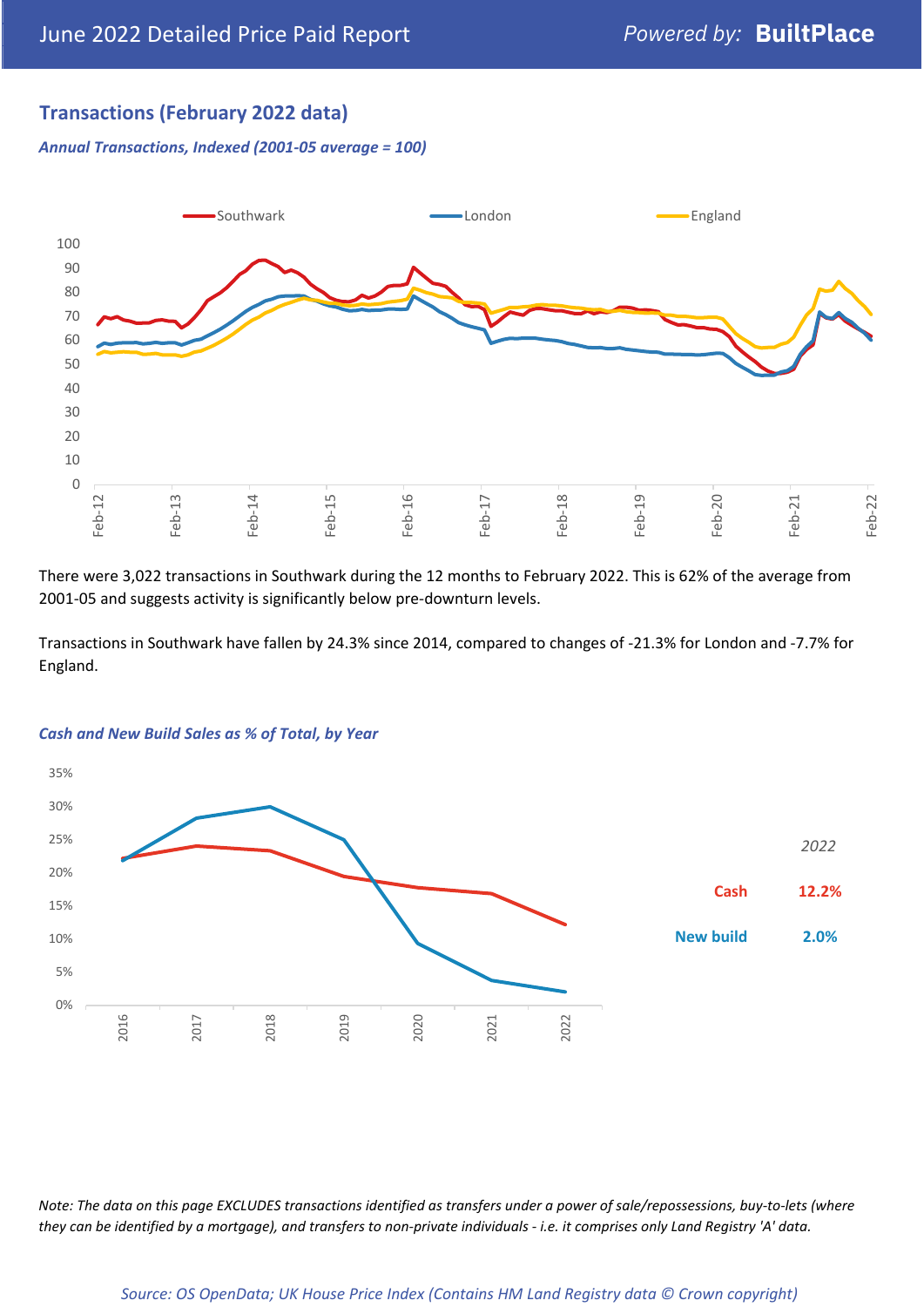## **Transactions (February 2022 data)**

*Annual Transactions, Indexed (2001-05 average = 100)*



There were 3,022 transactions in Southwark during the 12 months to February 2022. This is 62% of the average from 2001-05 and suggests activity is significantly below pre-downturn levels.

Transactions in Southwark have fallen by 24.3% since 2014, compared to changes of -21.3% for London and -7.7% for England.



#### *Cash and New Build Sales as % of Total, by Year*

*Note: The data on this page EXCLUDES transactions identified as transfers under a power of sale/repossessions, buy-to-lets (where they can be identified by a mortgage), and transfers to non-private individuals - i.e. it comprises only Land Registry 'A' data.*